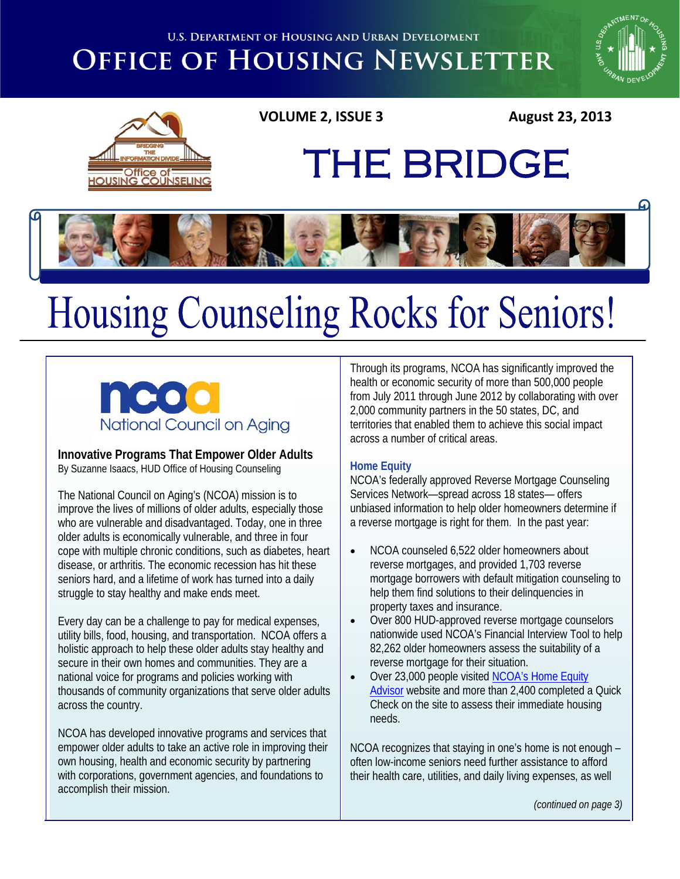**U.S. DEPARTMENT OF HOUSING AND URBAN DEVELOPMENT** 

## **OFFICE OF HOUSING NEWSLETTER**





### **VOLUME 2, ISSUE 3 August 23, 2013**



# Housing Counseling Rocks for Seniors!



**Innovative Programs That Empower Older Adults** By Suzanne Isaacs, HUD Office of Housing Counseling

The National Council on Aging's (NCOA) mission is to improve the lives of millions of older adults, especially those who are vulnerable and disadvantaged. Today, one in three older adults is economically vulnerable, and three in four cope with multiple chronic conditions, such as diabetes, heart disease, or arthritis. The economic recession has hit these seniors hard, and a lifetime of work has turned into a daily struggle to stay healthy and make ends meet.

Every day can be a challenge to pay for medical expenses, utility bills, food, housing, and transportation. NCOA offers a holistic approach to help these older adults stay healthy and secure in their own homes and communities. They are a national voice for programs and policies working with thousands of community organizations that serve older adults across the country.

NCOA has developed innovative programs and services that empower older adults to take an active role in improving their own housing, health and economic security by partnering with corporations, government agencies, and foundations to accomplish their mission.

Through its programs, NCOA has significantly improved the health or economic security of more than 500,000 people from July 2011 through June 2012 by collaborating with over 2,000 community partners in the 50 states, DC, and territories that enabled them to achieve this social impact across a number of critical areas.

THE BRIDGE

#### **Home Equity**

NCOA's federally approved Reverse Mortgage Counseling Services Network—spread across 18 states— offers unbiased information to help older homeowners determine if a reverse mortgage is right for them.In the past year:

- NCOA counseled 6,522 older homeowners about reverse mortgages, and provided 1,703 reverse mortgage borrowers with default mitigation counseling to help them find solutions to their delinquencies in property taxes and insurance.
- Over 800 HUD-approved reverse mortgage counselors nationwide used NCOA's Financial Interview Tool to help 82,262 older homeowners assess the suitability of a reverse mortgage for their situation.
- Over 23,000 people visited [NCOA's Home Equity](http://www.homeequityadvisor.org/) [Advisor](http://www.homeequityadvisor.org/) website and more than 2,400 completed a Quick Check on the site to assess their immediate housing needs.

NCOA recognizes that staying in one's home is not enough – often low-income seniors need further assistance to afford their health care, utilities, and daily living expenses, as well

*(continued on page 3)*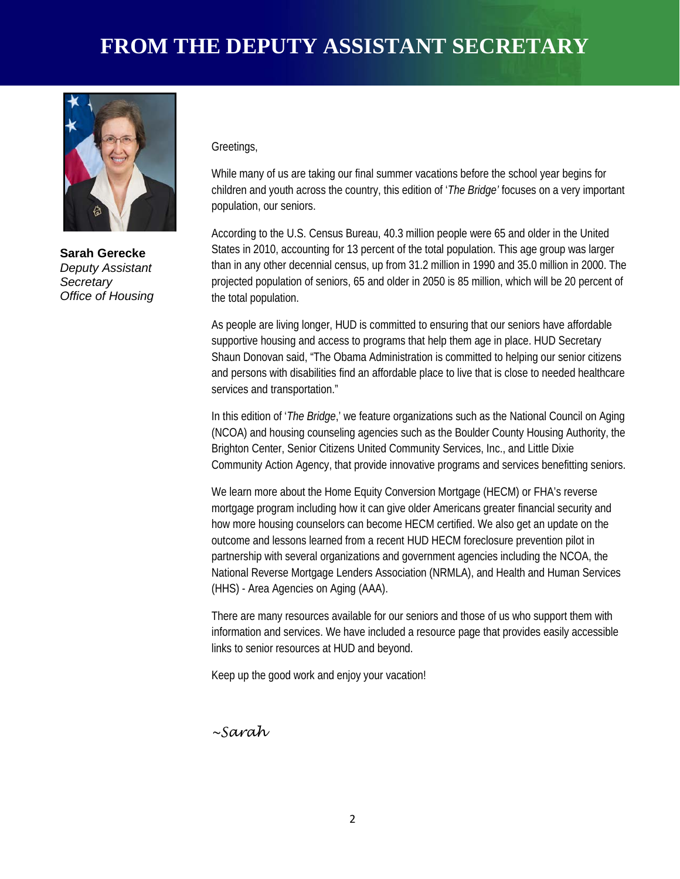### **FROM THE DEPUTY ASSISTANT SECRETARY**



**Sarah Gerecke** *Deputy Assistant Secretary Office of Housing*

#### Greetings,

While many of us are taking our final summer vacations before the school year begins for children and youth across the country, this edition of '*The Bridge'* focuses on a very important population, our seniors.

According to the U.S. Census Bureau, 40.3 million people were 65 and older in the United States in 2010, accounting for 13 percent of the total population. This age group was larger than in any other decennial census, up from 31.2 million in 1990 and 35.0 million in 2000. The projected population of seniors, 65 and older in 2050 is 85 million, which will be 20 percent of the total population.

As people are living longer, HUD is committed to ensuring that our seniors have affordable supportive housing and access to programs that help them age in place. HUD Secretary Shaun Donovan said, "The Obama Administration is committed to helping our senior citizens and persons with disabilities find an affordable place to live that is close to needed healthcare services and transportation."

(NCOA) and housing counseling agencies such as the Boulder County Housing Authority, the<br>Prighton Conter, Sonier Citizons United Community Services, Inc., and Little Divio In this edition of '*The Bridge*,' we feature organizations such as the National Council on Aging Brighton Center, Senior Citizens United Community Services, Inc., and Little Dixie Community Action Agency, that provide innovative programs and services benefitting seniors.

We learn more about the Home Equity Conversion Mortgage (HECM) or FHA's reverse mortgage program including how it can give older Americans greater financial security and how more housing counselors can become HECM certified. We also get an update on the outcome and lessons learned from a recent HUD HECM foreclosure prevention pilot in partnership with several organizations and government agencies including the NCOA, the National Reverse Mortgage Lenders Association (NRMLA), and Health and Human Services (HHS) - Area Agencies on Aging (AAA).

There are many resources available for our seniors and those of us who support them with information and services. We have included a resource page that provides easily accessible links to senior resources at HUD and beyond.

Keep up the good work and enjoy your vacation!

*~Sarah*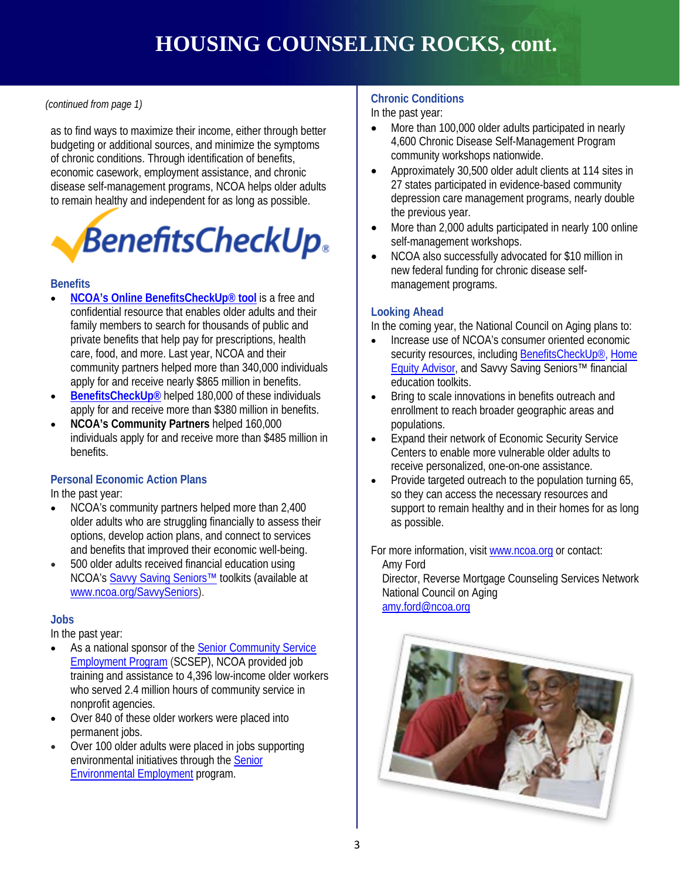#### *(continued from page 1)*

as to find ways to maximize their income, either through better budgeting or additional sources, and minimize the symptoms of chronic conditions. Through identification of benefits, economic casework, employment assistance, and chronic disease self-management programs, NCOA helps older adults to remain healthy and independent for as long as possible.



#### **Benefits**

- **[NCOA's Online BenefitsCheckUp® tool](https://www.benefitscheckup.org/)** is a free and confidential resource that enables older adults and their family members to search for thousands of public and private benefits that help pay for prescriptions, health care, food, and more. Last year, NCOA and their community partners helped more than 340,000 individuals apply for and receive nearly \$865 million in benefits.
- **[BenefitsCheckUp®](http://www.benefitscheckup.org/)** helped 180,000 of these individuals apply for and receive more than \$380 million in benefits.
- **CHAMPIONS OF SERVICE SERVICES**<br>individuals apply for and receive more than \$485 million in **CE** Expand their network • **NCOA's Community Partners** helped 160,000 benefits.

#### **Personal Economic Action Plans**

In the past year:

- NCOA's community partners helped more than 2,400 older adults who are struggling financially to assess their options, develop action plans, and connect to services and benefits that improved their economic well-being.
- 500 older adults received financial education using NCOA'[s Savvy Saving Seniors™](http://www.ncoa.org/enhance-economic-security/economic-security-Initiative/savvy-saving-seniors/savvy-saving-seniors.html) toolkits (available at [www.ncoa.org/SavvySeniors\)](http://www.ncoa.org/SavvySeniors).

#### **Jobs**

In the past year:

- As a national sponsor of the [Senior Community](http://www.ncoa.org/enhance-economic-security/mature-workers/senior-community-service-employment-program-scsep/) Service [Employment Program](http://www.ncoa.org/enhance-economic-security/mature-workers/senior-community-service-employment-program-scsep/) (SCSEP), NCOA provided job training and assistance to 4,396 low-income older workers who served 2.4 million hours of community service in nonprofit agencies.
- Over 840 of these older workers were placed into permanent jobs.
- Over 100 older adults were placed in jobs supporting environmental initiatives through th[e Senior](http://www.ncoa.org/enhance-economic-security/mature-workers/senior-environmental-employment-program-see/) [Environmental Employment](http://www.ncoa.org/enhance-economic-security/mature-workers/senior-environmental-employment-program-see/) program.

#### **Chronic Conditions**

In the past year:

- More than 100,000 older adults participated in nearly 4,600 Chronic Disease Self-Management Program community workshops nationwide.
- Approximately 30,500 older adult clients at 114 sites in 27 states participated in evidence-based community depression care management programs, nearly double the previous year.
- More than 2,000 adults participated in nearly 100 online self-management workshops.
- NCOA also successfully advocated for \$10 million in new federal funding for chronic disease selfmanagement programs.

#### **Looking Ahead**

In the coming year, the National Council on Aging plans to:

- Increase use of NCOA's consumer oriented economic security resources, includin[g BenefitsCheckUp®,](https://www.benefitscheckup.org/) [Home](http://www.homeequityadvisor.org/) [Equity Advisor,](http://www.homeequityadvisor.org/) and Savvy Saving Seniors™ financial education toolkits.
- Bring to scale innovations in benefits outreach and enrollment to reach broader geographic areas and populations.
- Expand their network of Economic Security Service Centers to enable more vulnerable older adults to receive personalized, one-on-one assistance.
- Provide targeted outreach to the population turning 65, so they can access the necessary resources and support to remain healthy and in their homes for as long as possible.

For more information, visit [www.ncoa.org](http://www.ncoa.org/) or contact: Amy Ford Director, Reverse Mortgage Counseling Services Network National Council on Aging

[amy.ford@ncoa.org](mailto:amy.ford@ncoa.org) 

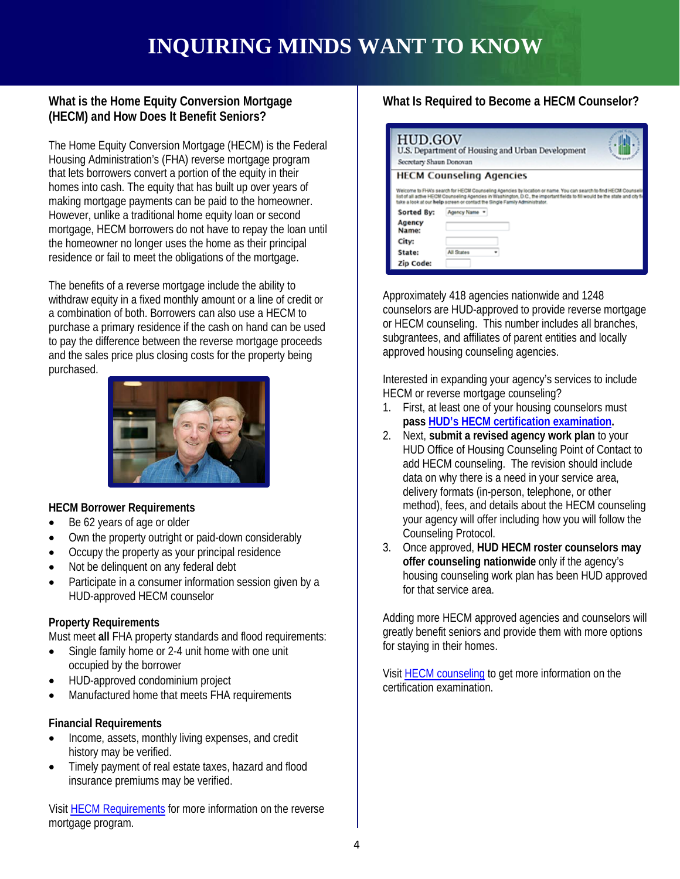### **INQUIRING MINDS WANT TO KNOW**

#### **What is the Home Equity Conversion Mortgage (HECM) and How Does It Benefit Seniors?**

The Home Equity Conversion Mortgage (HECM) is the Federal Housing Administration's (FHA) reverse mortgage program that lets borrowers convert a portion of the equity in their homes into cash. The equity that has built up over years of making mortgage payments can be paid to the homeowner. However, unlike a traditional home equity loan or second mortgage, HECM borrowers do not have to repay the loan until the homeowner no longer uses the home as their principal residence or fail to meet the obligations of the mortgage.

The benefits of a reverse mortgage include the ability to withdraw equity in a fixed monthly amount or a line of credit or a combination of both. Borrowers can also use a HECM to purchase a primary residence if the cash on hand can be used to pay the difference between the reverse mortgage proceeds and the sales price plus closing costs for the property being purchased.



#### **HECM Borrower Requirements**

- Be 62 years of age or older
- Own the property outright or paid-down considerably
- Occupy the property as your principal residence
- Not be delinguent on any federal debt
- Participate in a consumer information session given by a HUD-approved HECM counselor

#### **Property Requirements**

Must meet **all** FHA property standards and flood requirements:

- Single family home or 2-4 unit home with one unit occupied by the borrower
- HUD-approved condominium project
- Manufactured home that meets FHA requirements

#### **Financial Requirements**

- Income, assets, monthly living expenses, and credit history may be verified.
- Timely payment of real estate taxes, hazard and flood insurance premiums may be verified.

Visi[t HECM Requirements](http://portal.hud.gov/hudportal/HUD?src=/program_offices/housing/sfh/hecm/hecmhome) for more information on the reverse mortgage program.

#### **What Is Required to Become a HECM Counselor?**

| <b>HUD.GOV</b><br>Secretary Shaun Donovan | U.S. Department of Housing and Urban Development                                                                                                                                                                                                                                                                               |
|-------------------------------------------|--------------------------------------------------------------------------------------------------------------------------------------------------------------------------------------------------------------------------------------------------------------------------------------------------------------------------------|
|                                           | <b>HECM Counseling Agencies</b>                                                                                                                                                                                                                                                                                                |
|                                           | Welcome to FHA's search for HECM Counseling Agencies by location or name. You can search to find HECM Counselin<br>list of all active HECM Counseling Agencies in Washington, D.C., the important fields to fill would be the state and city fil<br>take a look at our help screen or contact the Single Family Administrator. |
| Sorted By:                                | Agency Name *                                                                                                                                                                                                                                                                                                                  |
| Agency<br>Name:                           |                                                                                                                                                                                                                                                                                                                                |
| City:                                     |                                                                                                                                                                                                                                                                                                                                |
| State:                                    | All States                                                                                                                                                                                                                                                                                                                     |
| Zip Code:                                 |                                                                                                                                                                                                                                                                                                                                |

Approximately 418 agencies nationwide and 1248 counselors are HUD-approved to provide reverse mortgage or HECM counseling. This number includes all branches, subgrantees, and affiliates of parent entities and locally approved housing counseling agencies.

Interested in expanding your agency's services to include HECM or reverse mortgage counseling?

- 1. First, at least one of your housing counselors must **pass HUD's HECM certification examination.**
- **CHAMPIONS OF SERVICE 2.** Next, **submit a revised agency work plan** to your HUD Office of Housing Counseling Point of Contact to add HECM counseling. The revision should include data on why there is a need in your service area, delivery formats (in-person, telephone, or other method), fees, and details about the HECM counseling your agency will offer including how you will follow the Counseling Protocol.
	- 3. Once approved, **HUD HECM roster counselors may offer counseling nationwide** only if the agency's housing counseling work plan has been HUD approved for that service area.

Adding more HECM approved agencies and counselors will greatly benefit seniors and provide them with more options for staying in their homes.

Visit [HECM counseling](http://portal.hud.gov/hudportal/HUD?src=/program_offices/housing/sfh/hcc/hecm.) to get more information on the certification examination.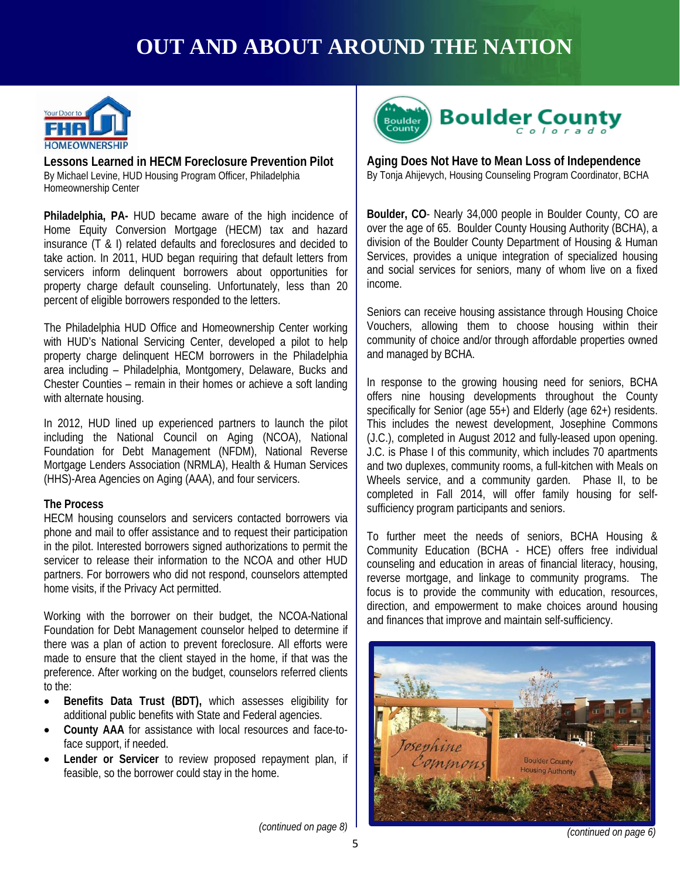### **OUT AND ABOUT AROUND THE NATION**



**Lessons Learned in HECM Foreclosure Prevention Pilot**  By Michael Levine, HUD Housing Program Officer, Philadelphia Homeownership Center

**Philadelphia, PA-** HUD became aware of the high incidence of Home Equity Conversion Mortgage (HECM) tax and hazard insurance (T & I) related defaults and foreclosures and decided to take action. In 2011, HUD began requiring that default letters from servicers inform delinquent borrowers about opportunities for property charge default counseling. Unfortunately, less than 20 percent of eligible borrowers responded to the letters.

The Philadelphia HUD Office and Homeownership Center working with HUD's National Servicing Center, developed a pilot to help property charge delinquent HECM borrowers in the Philadelphia area including – Philadelphia, Montgomery, Delaware, Bucks and Chester Counties – remain in their homes or achieve a soft landing with alternate housing.

including the National Council on Aging (NCOA), National (J.C.), completed in Augustave Council on Aging (NCOA), National (J.C.), completed in Augustave Council on Aging (NCOA), National (J.C.), completed in Augustave Coun In 2012, HUD lined up experienced partners to launch the pilot Foundation for Debt Management (NFDM), National Reverse Mortgage Lenders Association (NRMLA), Health & Human Services (HHS)-Area Agencies on Aging (AAA), and four servicers.

#### **The Process**

HECM housing counselors and servicers contacted borrowers via phone and mail to offer assistance and to request their participation in the pilot. Interested borrowers signed authorizations to permit the servicer to release their information to the NCOA and other HUD partners. For borrowers who did not respond, counselors attempted home visits, if the Privacy Act permitted.

Working with the borrower on their budget, the NCOA-National Foundation for Debt Management counselor helped to determine if there was a plan of action to prevent foreclosure. All efforts were made to ensure that the client stayed in the home, if that was the preference. After working on the budget, counselors referred clients to the:

- **Benefits Data Trust (BDT),** which assesses eligibility for additional public benefits with State and Federal agencies.
- **County AAA** for assistance with local resources and face-toface support, if needed.
- Lender or Servicer to review proposed repayment plan, if feasible, so the borrower could stay in the home.



**Aging Does Not Have to Mean Loss of Independence**  By Tonja Ahijevych, Housing Counseling Program Coordinator, BCHA

**Boulder, CO**- Nearly 34,000 people in Boulder County, CO are over the age of 65. Boulder County Housing Authority (BCHA), a division of the Boulder County Department of Housing & Human Services, provides a unique integration of specialized housing and social services for seniors, many of whom live on a fixed income.

Seniors can receive housing assistance through Housing Choice Vouchers, allowing them to choose housing within their community of choice and/or through affordable properties owned and managed by BCHA.

In response to the growing housing need for seniors, BCHA offers nine housing developments throughout the County specifically for Senior (age 55+) and Elderly (age 62+) residents. This includes the newest development, Josephine Commons (J.C.), completed in August 2012 and fully-leased upon opening. J.C. is Phase I of this community, which includes 70 apartments and two duplexes, community rooms, a full-kitchen with Meals on Wheels service, and a community garden. Phase II, to be completed in Fall 2014, will offer family housing for selfsufficiency program participants and seniors.

To further meet the needs of seniors, BCHA Housing & Community Education (BCHA - HCE) offers free individual counseling and education in areas of financial literacy, housing, reverse mortgage, and linkage to community programs. The focus is to provide the community with education, resources, direction, and empowerment to make choices around housing and finances that improve and maintain self-sufficiency.



*(continued on page 8)* 

 *<sup>(</sup>continued on page 6)*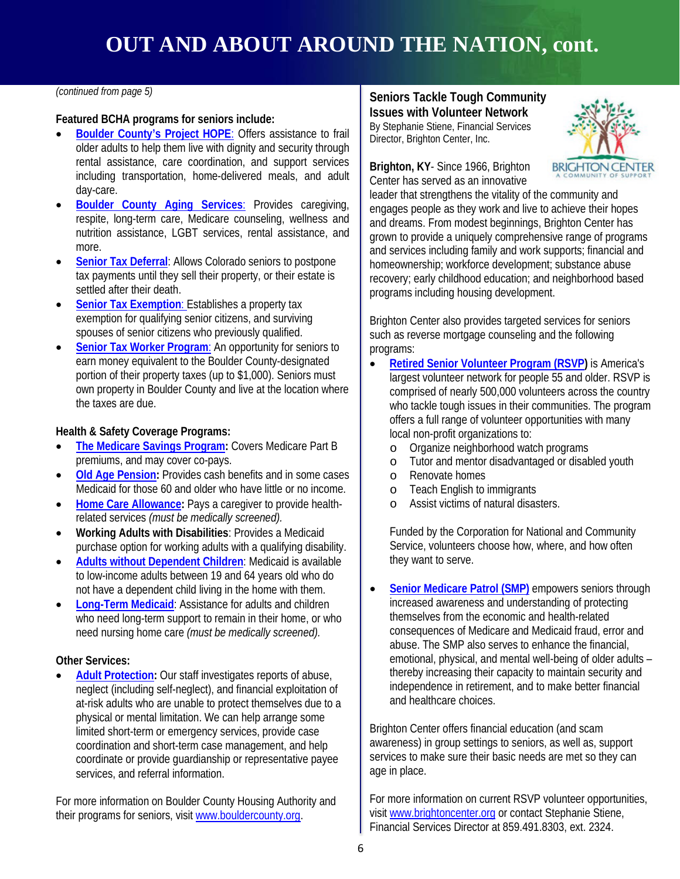#### *(continued from page 5)*

#### **Featured BCHA programs for seniors include:**

- **[Boulder County's Project HOPE](http://www.bouldercounty.org/family/seniors/pages/projhope.aspx):** Offers assistance to frail older adults to help them live with dignity and security through rental assistance, care coordination, and support services including transportation, home-delivered meals, and adult day-care.
- **[Boulder County Aging Services](http://www.bouldercounty.org/family/seniors/pages/agprograms.aspx)**: Provides caregiving, respite, long-term care, Medicare counseling, wellness and nutrition assistance, LGBT services, rental assistance, and more.
- **[Senior Tax Deferral](http://www.bouldercounty.org/property/taxes/Pages/seniordeferral.aspx):** Allows Colorado seniors to postpone tax payments until they sell their property, or their estate is settled after their death.
- **[Senior Tax Exemption](http://www.bouldercounty.org/dept/assessor/Pages/seniors.aspx):** Establishes a property tax exemption for qualifying senior citizens, and surviving spouses of senior citizens who previously qualified.
- **[Senior Tax Worker Program](http://www.bouldercounty.org/jobs/seniors): An opportunity for seniors to** earn money equivalent to the Boulder County-designated portion of their property taxes (up to \$1,000). Seniors must own property in Boulder County and live at the location where the taxes are due.

#### **Health & Safety Coverage Programs:**

- **Health & Safety Coverage Programs:**<br>• <mark>The Medicare Savings Program</mark>: Covers Medicare Part B Organize neighl premiums, and may cover co-pays.
- **[Old Age Pension:](http://www.bouldercounty.org/family/financial/pages/oap.aspx)** Provides cash benefits and in some cases Medicaid for those 60 and older who have little or no income.
- **[Home Care Allowance:](http://www.bouldercounty.org/family/seniors/pages/careservice.aspx)** Pays a caregiver to provide healthrelated services *(must be medically screened).*
- **Working Adults with Disabilities**: Provides a Medicaid purchase option for working adults with a qualifying disability.
- **[Adults without Dependent Children](http://www.bouldercounty.org/family/medical/pages/hhsmedicaid.aspx)**: Medicaid is available to low-income adults between 19 and 64 years old who do not have a dependent child living in the home with them.
- **[Long-Term Medicaid](http://www.bouldercounty.org/family/seniors/pages/ltcareombud.aspx)**: Assistance for adults and children who need long-term support to remain in their home, or who need nursing home care *(must be medically screened).*

#### **Other Services:**

• **[Adult Protection:](http://www.bouldercounty.org/family/seniors/pages/hhsadultprotsrserv.aspx)** Our staff investigates reports of abuse, neglect (including self-neglect), and financial exploitation of at-risk adults who are unable to protect themselves due to a physical or mental limitation. We can help arrange some limited short-term or emergency services, provide case coordination and short-term case management, and help coordinate or provide guardianship or representative payee services, and referral information.

For more information on Boulder County Housing Authority and their programs for seniors, visit [www.bouldercounty.org.](http://www.bouldercounty.org/)

#### **Seniors Tackle Tough Community Issues with Volunteer Network**

By Stephanie Stiene, Financial Services Director, Brighton Center, Inc.



**Brighton, KY**- Since 1966, Brighton Center has served as an innovative

leader that strengthens the vitality of the community and engages people as they work and live to achieve their hopes and dreams. From modest beginnings, Brighton Center has grown to provide a uniquely comprehensive range of programs and services including family and work supports; financial and homeownership; workforce development; substance abuse recovery; early childhood education; and neighborhood based programs including housing development.

Brighton Center also provides targeted services for seniors such as reverse mortgage counseling and the following programs:

- **[Retired Senior Volunteer Program \(RSVP\)](http://www.nationalservice.gov/programs/senior-corps/rsvp)** is America's largest volunteer network for people 55 and older. RSVP is comprised of nearly 500,000 volunteers across the country who tackle tough issues in their communities. The program offers a full range of volunteer opportunities with many local non-profit organizations to:
	- o Organize neighborhood watch programs
	- o Tutor and mentor disadvantaged or disabled youth o<br>
	Renovate homes
	- o Renovate homes<br>o Teach English to
	- o Teach English to immigrants<br>o Assist victims of natural disase
	- Assist victims of natural disasters.

Funded by the Corporation for National and Community Service, volunteers choose how, where, and how often they want to serve.

**[Senior Medicare Patrol \(SMP\)](http://www.stopmedicarefraud.gov/preventfraud/smp/)** empowers seniors through increased awareness and understanding of protecting themselves from the economic and health-related consequences of Medicare and Medicaid fraud, error and abuse. The SMP also serves to enhance the financial, emotional, physical, and mental well-being of older adults – thereby increasing their capacity to maintain security and independence in retirement, and to make better financial and healthcare choices.

Brighton Center offers financial education (and scam awareness) in group settings to seniors, as well as, support services to make sure their basic needs are met so they can age in place.

For more information on current RSVP volunteer opportunities, visit [www.brightoncenter.org](http://www.brightoncenter.org/) or contact Stephanie Stiene, Financial Services Director at 859.491.8303, ext. 2324.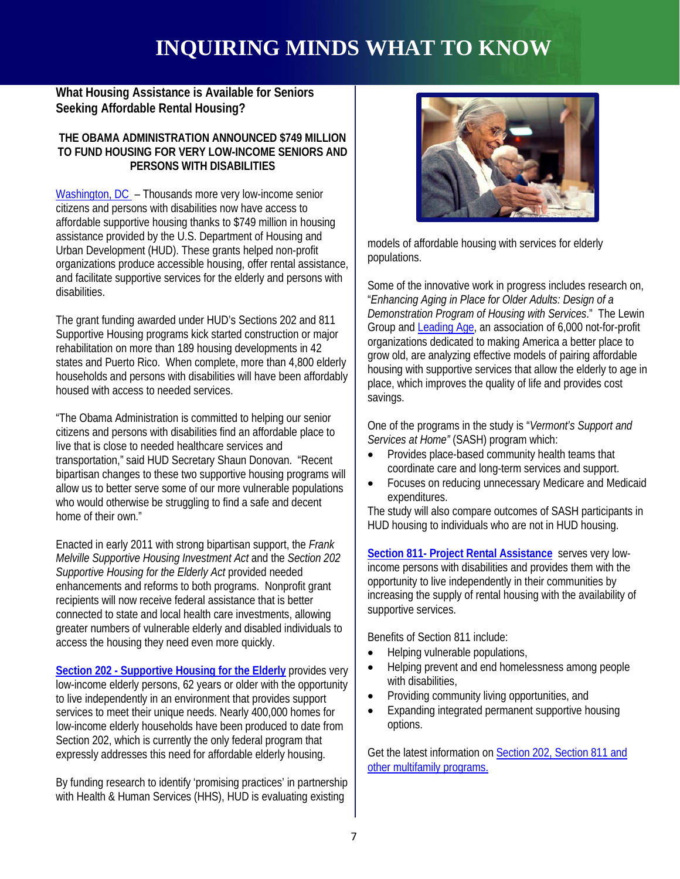### **INQUIRING MINDS WHAT TO KNOW**

**What Housing Assistance is Available for Seniors Seeking Affordable Rental Housing?**

#### **THE OBAMA ADMINISTRATION ANNOUNCED \$749 MILLION TO FUND HOUSING FOR VERY LOW-INCOME SENIORS AND PERSONS WITH DISABILITIES**

[Washington, DC](http://portal.hud.gov/hudportal/HUD?src=/press/press_releases_media_advisories/2011/HUDNo.11-266) - Thousands more very low-income senior citizens and persons with disabilities now have access to affordable supportive housing thanks to \$749 million in housing assistance provided by the U.S. Department of Housing and Urban Development (HUD). These grants helped non-profit organizations produce accessible housing, offer rental assistance, and facilitate supportive services for the elderly and persons with disabilities.

The grant funding awarded under HUD's Sections 202 and 811 Supportive Housing programs kick started construction or major rehabilitation on more than 189 housing developments in 42 states and Puerto Rico. When complete, more than 4,800 elderly households and persons with disabilities will have been affordably housed with access to needed services.

"The Obama Administration is committed to helping our senior citizens and persons with disabilities find an affordable place to live that is close to needed healthcare services and transportation," said HUD Secretary Shaun Donovan. "Recent bipartisan changes to these two supportive housing programs will allow us to better serve some of our more vulnerable populations who would otherwise be struggling to find a safe and decent home of their own."

Enacted in early 2011 with strong bipartisan support, the *Frank Melville Supportive Housing Investment Act* and the *Section 202 Supportive Housing for the Elderly Act* provided needed enhancements and reforms to both programs. Nonprofit grant recipients will now receive federal assistance that is better connected to state and local health care investments, allowing greater numbers of vulnerable elderly and disabled individuals to access the housing they need even more quickly.

**[Section 202 - Supportive Housing for the Elderly](http://portal.hud.gov/hudportal/HUD?src=/program_offices/housing/mfh/progdesc/eld202)** provides very low-income elderly persons, 62 years or older with the opportunity to live independently in an environment that provides support services to meet their unique needs. Nearly 400,000 homes for low-income elderly households have been produced to date from Section 202, which is currently the only federal program that expressly addresses this need for affordable elderly housing.

By funding research to identify 'promising practices' in partnership with Health & Human Services (HHS), HUD is evaluating existing



models of affordable housing with services for elderly populations.

Some of the innovative work in progress includes research on, "*Enhancing Aging in Place for Older Adults: Design of a Demonstration Program of Housing with Services*." The Lewin Group and [Leading Age,](http://www.leadingage.org/) an association of 6,000 not-for-profit organizations dedicated to making America a better place to grow old, are analyzing effective models of pairing affordable housing with supportive services that allow the elderly to age in place, which improves the quality of life and provides cost savings.

ities find an affordable place to *Services at Home"* (SASH) program which: One of the programs in the study is "*Vermont's Support and* 

- Provides place-based community health teams that coordinate care and long-term services and support.
- Focuses on reducing unnecessary Medicare and Medicaid expenditures.

The study will also compare outcomes of SASH participants in HUD housing to individuals who are not in HUD housing.

**[Section 811- Project Rental Assistance](http://portal.hud.gov/hudportal/HUD?src=/program_offices/housing/mfh/progdesc/disab811)** serves very lowincome persons with disabilities and provides them with the opportunity to live independently in their communities by increasing the supply of rental housing with the availability of supportive services.

Benefits of Section 811 include:

- Helping vulnerable populations,
- Helping prevent and end homelessness among people with disabilities.
- Providing community living opportunities, and
- Expanding integrated permanent supportive housing options.

Get the latest information on [Section 202, Section 811 and](http://portal.hud.gov/hudportal/HUD?src=/program_offices/housing/mfh/progdesc)  [other multifamily programs.](http://portal.hud.gov/hudportal/HUD?src=/program_offices/housing/mfh/progdesc)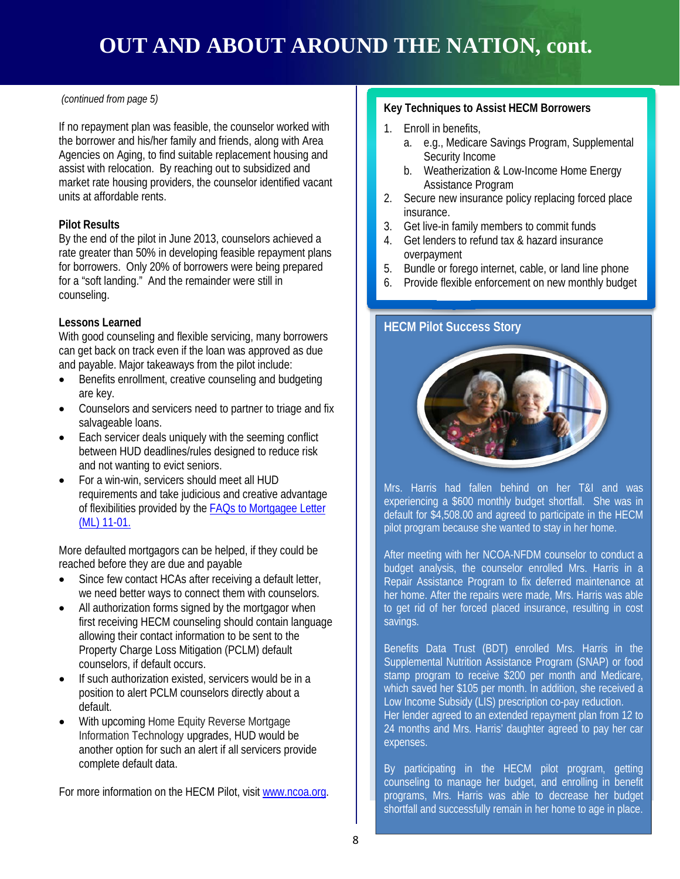### **OUT AND ABOUT AROUND THE NATION, cont.**

#### *(continued from page 5)*

If no repayment plan was feasible, the counselor worked with the borrower and his/her family and friends, along with Area Agencies on Aging, to find suitable replacement housing and assist with relocation. By reaching out to subsidized and market rate housing providers, the counselor identified vacant units at affordable rents.

#### **Pilot Results**

By the end of the pilot in June 2013, counselors achieved a rate greater than 50% in developing feasible repayment plans for borrowers. Only 20% of borrowers were being prepared for a "soft landing." And the remainder were still in counseling.

#### **Lessons Learned**

With good counseling and flexible servicing, many borrowers can get back on track even if the loan was approved as due and payable. Major takeaways from the pilot include:

- Benefits enrollment, creative counseling and budgeting are key.
- Counselors and servicers need to partner to triage and fix salvageable loans.
- Each servicer deals uniquely with the seeming conflict **CHAMPIONS OF SERVICE** between HUD deadlines/rules designed to reduce risk and not wanting to evict seniors.
- For a win-win, servicers should meet all HUD requirements and take judicious and creative advantage of flexibilities provided by the [FAQs to Mortgagee Letter](http://portal.hud.gov/hudportal/documents/huddoc?id=ML11-01HECMIndustryFAQ.pdf) [\(ML\) 11-01.](http://portal.hud.gov/hudportal/documents/huddoc?id=ML11-01HECMIndustryFAQ.pdf)

More defaulted mortgagors can be helped, if they could be reached before they are due and payable

- Since few contact HCAs after receiving a default letter, we need better ways to connect them with counselors.
- All authorization forms signed by the mortgagor when first receiving HECM counseling should contain language allowing their contact information to be sent to the Property Charge Loss Mitigation (PCLM) default counselors, if default occurs.
- If such authorization existed, servicers would be in a position to alert PCLM counselors directly about a default.
- With upcoming Home Equity Reverse Mortgage Information Technology upgrades, HUD would be another option for such an alert if all servicers provide complete default data.

For more information on the HECM Pilot, visi[t www.ncoa.org.](http://www.ncoa.org/)

#### **Key Techniques to Assist HECM Borrowers**

- 1. Enroll in benefits,
	- a. e.g., Medicare Savings Program, Supplemental Security Income
	- b. Weatherization & Low-Income Home Energy Assistance Program
- 2. Secure new insurance policy replacing forced place insurance.
- 3. Get live-in family members to commit funds
- 4. Get lenders to refund tax & hazard insurance overpayment
- 5. Bundle or forego internet, cable, or land line phone
- 6. Provide flexible enforcement on new monthly budget

#### **HECM Pilot Success Story**



Mrs. Harris had fallen behind on her T&I and was experiencing a \$600 monthly budget shortfall. She was in default for \$4,508.00 and agreed to participate in the HECM pilot program because she wanted to stay in her home.

After meeting with her NCOA-NFDM counselor to conduct a budget analysis, the counselor enrolled Mrs. Harris in a Repair Assistance Program to fix deferred maintenance at her home. After the repairs were made, Mrs. Harris was able to get rid of her forced placed insurance, resulting in cost savings.

Benefits Data Trust (BDT) enrolled Mrs. Harris in the Supplemental Nutrition Assistance Program (SNAP) or food stamp program to receive \$200 per month and Medicare, which saved her \$105 per month. In addition, she received a Low Income Subsidy (LIS) prescription co-pay reduction.

Her lender agreed to an extended repayment plan from 12 to 24 months and Mrs. Harris' daughter agreed to pay her car expenses.

By participating in the HECM pilot program, getting counseling to manage her budget, and enrolling in benefit programs, Mrs. Harris was able to decrease her budget shortfall and successfully remain in her home to age in place.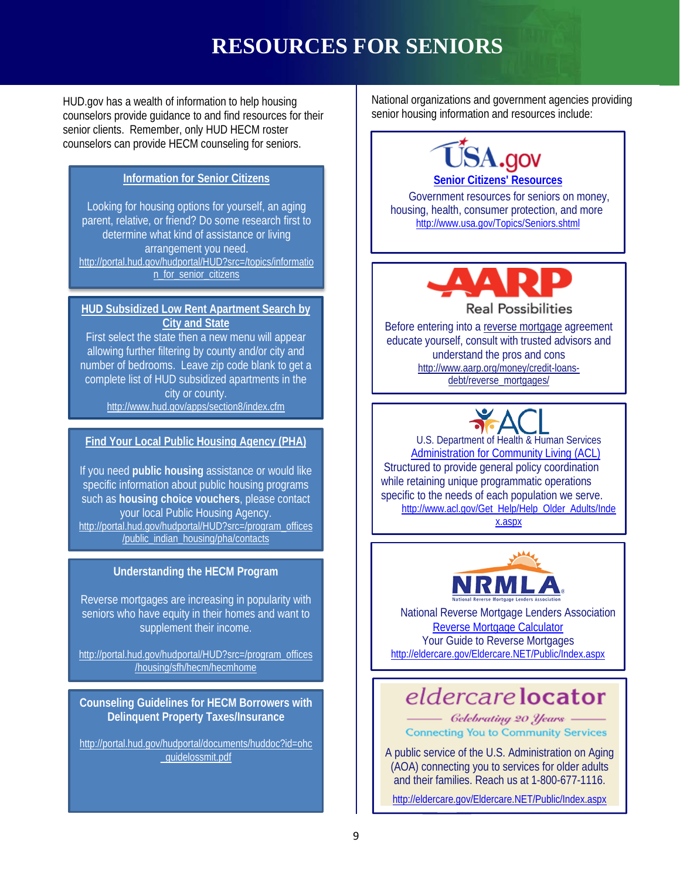### **RESOURCES FOR SENIORS**

HUD.gov has a wealth of information to help housing counselors provide guidance to and find resources for their senior clients. Remember, only HUD HECM roster counselors can provide HECM counseling for seniors.

### **[Information for Senior Citizens](http://portal.hud.gov/hudportal/HUD?src=/topics/information_for_senior_citizens)**

Looking for housing options for yourself, an aging parent, relative, or friend? Do some research first to determine what kind of assistance or living arrangement you need. [http://portal.hud.gov/hudportal/HUD?src=/topics/informatio](http://portal.hud.gov/hudportal/HUD?src=/topics/information_for_senior_citizens) [n\\_for\\_senior\\_citizens](http://portal.hud.gov/hudportal/HUD?src=/topics/information_for_senior_citizens)

#### **[HUD Subsidized Low Rent Apartment Search by](http://www.hud.gov/apps/section8/index.cfm)  [City and State](http://www.hud.gov/apps/section8/index.cfm)**

First select the state then a new menu will appear allowing further filtering by county and/or city and number of bedrooms. Leave zip code blank to get a complete list of HUD subsidized apartments in the city or county. <http://www.hud.gov/apps/section8/index.cfm>

### **[Find Your Local Public Housing Agency \(PHA\)](http://portal.hud.gov/hudportal/HUD?src=/program_offices/public_indian_housing/pha/contacts) CHAMPIONS U.S. Department**

If you need **[public housing](http://portal.hud.gov/hudportal/HUD/program_offices/public_indian_housing/programs/ph)** assistance or would like specific information about public housing programs such as **[housing choice vouchers](http://portal.hud.gov/hudportal/HUD/program_offices/public_indian_housing/programs/hcv)**, please contact your local Public Housing Agency. [http://portal.hud.gov/hudportal/HUD?src=/program\\_offices](http://portal.hud.gov/hudportal/HUD?src=/program_offices/public_indian_housing/pha/contacts) [/public\\_indian\\_housing/pha/contacts](http://portal.hud.gov/hudportal/HUD?src=/program_offices/public_indian_housing/pha/contacts)

#### **Understanding the HECM Program**

Reverse mortgages are increasing in popularity with seniors who have equity in their homes and want to supplement their income.

[http://portal.hud.gov/hudportal/HUD?src=/program\\_offices](http://portal.hud.gov/hudportal/HUD?src=/program_offices/housing/sfh/hecm/hecmhome) [/housing/sfh/hecm/hecmhome](http://portal.hud.gov/hudportal/HUD?src=/program_offices/housing/sfh/hecm/hecmhome)

**Counseling Guidelines for HECM Borrowers with Delinquent Property Taxes/Insurance**

[http://portal.hud.gov/hudportal/documents/huddoc?id=ohc](http://portal.hud.gov/hudportal/documents/huddoc?id=ohc_guidelossmit.pdf) [\\_guidelossmit.pdf](http://portal.hud.gov/hudportal/documents/huddoc?id=ohc_guidelossmit.pdf)

National organizations and government agencies providing senior housing information and resources include:



Government resources for seniors on money, housing, health, consumer protection, and more. <http://www.usa.gov/Topics/Seniors.shtml>



Before entering into [a reverse mortgage](http://www.aarp.org/money/credit-loans-debt/reverse_mortgages/) agreement educate yourself, consult with trusted advisors and understand the pros and cons [http://www.aarp.org/money/credit-loans](http://www.aarp.org/money/credit-loans-debt/reverse_mortgages/)[debt/reverse\\_mortgages/](http://www.aarp.org/money/credit-loans-debt/reverse_mortgages/)

U.S. Department of Health & Human Services [Administration for Community Living \(ACL\)](http://www.acl.gov/Get_Help/Help_Older_Adults/Index.aspx) ( Structured to provide general policy coordination while retaining unique programmatic operations specific to the needs of each population we serve. [http://www.acl.gov/Get\\_Help/Help\\_Older\\_Adults/Inde](http://www.acl.gov/Get_Help/Help_Older_Adults/Index.aspx) [x.aspx](http://www.acl.gov/Get_Help/Help_Older_Adults/Index.aspx)



National Reverse Mortgage Lenders Association [Reverse Mortgage Calculator](http://www.reversemortgage.org/About/ReverseMortgageCalculator.aspx) Your Guide to Reverse Mortgages <http://eldercare.gov/Eldercare.NET/Public/Index.aspx>

### eldercare locator

- Gelebrating 20 Years -**Connecting You to Community Services** 

A public service of the U.S. Administration on Aging (AOA) connecting you to services for older adults and their families. Reach us at 1-800-677-1116.

<http://eldercare.gov/Eldercare.NET/Public/Index.aspx>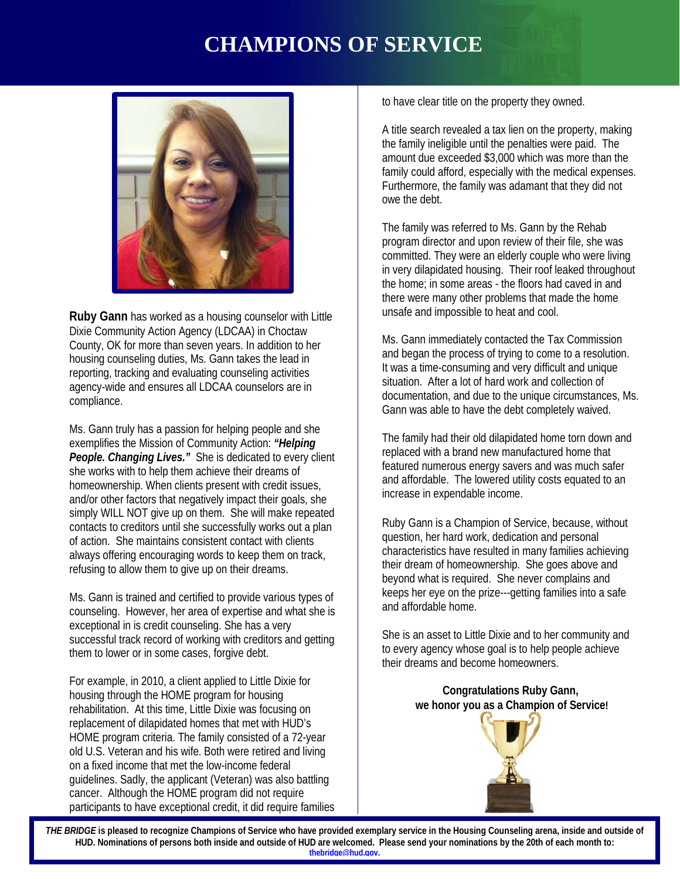### **CHAMPIONS OF SERVICE**



**Ruby Gann** has worked as a housing counselor with Little Dixie Community Action Agency (LDCAA) in Choctaw County, OK for more than seven years. In addition to her housing counseling duties, Ms. Gann takes the lead in reporting, tracking and evaluating counseling activities agency-wide and ensures all LDCAA counselors are in compliance.

ws. Gann truly has a passion for helping people and she<br>exemplifies the Mission of Community Action: *"Helping* [1] The family had their o Ms. Gann truly has a passion for helping people and she *People. Changing Lives."* She is dedicated to every client she works with to help them achieve their dreams of homeownership. When clients present with credit issues, and/or other factors that negatively impact their goals, she simply WILL NOT give up on them. She will make repeated contacts to creditors until she successfully works out a plan of action. She maintains consistent contact with clients always offering encouraging words to keep them on track, refusing to allow them to give up on their dreams.

Ms. Gann is trained and certified to provide various types of counseling. However, her area of expertise and what she is exceptional in is credit counseling. She has a very successful track record of working with creditors and getting them to lower or in some cases, forgive debt.

For example, in 2010, a client applied to Little Dixie for housing through the HOME program for housing rehabilitation. At this time, Little Dixie was focusing on replacement of dilapidated homes that met with HUD's HOME program criteria. The family consisted of a 72-year old U.S. Veteran and his wife. Both were retired and living on a fixed income that met the low-income federal guidelines. Sadly, the applicant (Veteran) was also battling cancer. Although the HOME program did not require participants to have exceptional credit, it did require families to have clear title on the property they owned.

A title search revealed a tax lien on the property, making the family ineligible until the penalties were paid. The amount due exceeded \$3,000 which was more than the family could afford, especially with the medical expenses. Furthermore, the family was adamant that they did not owe the debt.

The family was referred to Ms. Gann by the Rehab program director and upon review of their file, she was committed. They were an elderly couple who were living in very dilapidated housing. Their roof leaked throughout the home; in some areas - the floors had caved in and there were many other problems that made the home unsafe and impossible to heat and cool.

Ms. Gann immediately contacted the Tax Commission and began the process of trying to come to a resolution. It was a time-consuming and very difficult and unique situation. After a lot of hard work and collection of documentation, and due to the unique circumstances, Ms. Gann was able to have the debt completely waived.

The family had their old dilapidated home torn down and replaced with a brand new manufactured home that featured numerous energy savers and was much safer and affordable. The lowered utility costs equated to an increase in expendable income.

Ruby Gann is a Champion of Service, because, without question, her hard work, dedication and personal characteristics have resulted in many families achieving their dream of homeownership. She goes above and beyond what is required. She never complains and keeps her eye on the prize---getting families into a safe and affordable home.

She is an asset to Little Dixie and to her community and to every agency whose goal is to help people achieve their dreams and become homeowners.

#### **Congratulations Ruby Gann, we honor you as a Champion of Service!**



*THE BRIDGE* **is pleased to recognize Champions of Service who have provided exemplary service in the Housing Counseling arena, inside and outside of HUD. Nominations of persons both inside and outside of HUD are welcomed. Please send your nominations by the 20th of each month to: [thebridge@hud.gov.](mailto:thebridge@hud.gov)**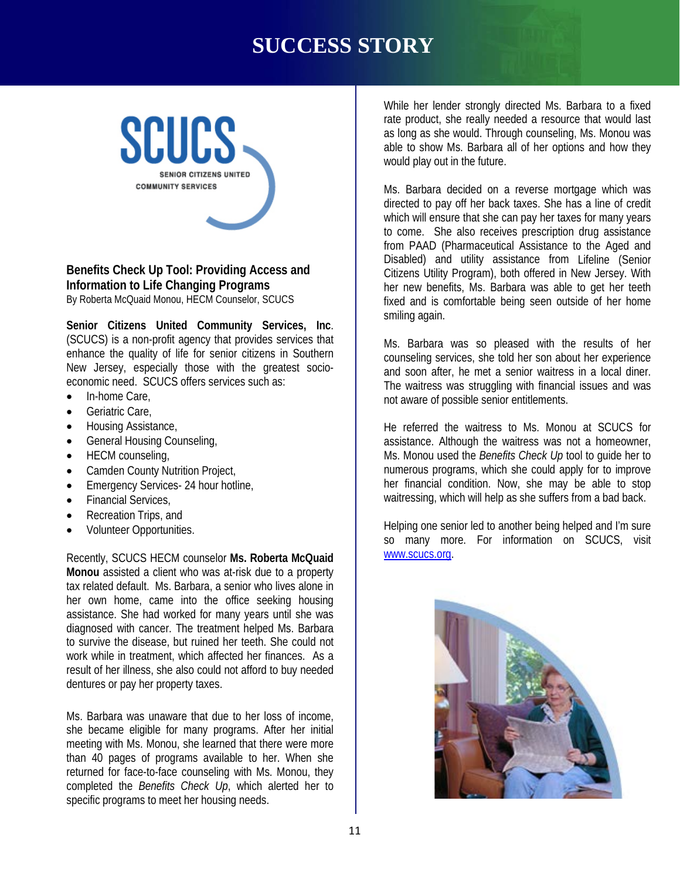### **SUCCESS STORY**



#### **Benefits Check Up Tool: Providing Access and Information to Life Changing Programs** By Roberta McQuaid Monou, HECM Counselor, SCUCS

**Senior Citizens United Community Services, Inc**. (SCUCS) is a non-profit agency that provides services that enhance the quality of life for senior citizens in Southern New Jersey, especially those with the greatest socioeconomic need. SCUCS offers services such as:

- In-home Care
- Geriatric Care,
- Housing Assistance,
- General Housing Counseling,
- HECM counseling,
- Camden County Nutrition Project,
- Emergency Services- 24 hour hotline,
- Financial Services,
- Recreation Trips, and
- Volunteer Opportunities.

Recently, SCUCS HECM counselor **Ms. Roberta McQuaid Monou** assisted a client who was at-risk due to a property tax related default. Ms. Barbara, a senior who lives alone in her own home, came into the office seeking housing assistance. She had worked for many years until she was diagnosed with cancer. The treatment helped Ms. Barbara to survive the disease, but ruined her teeth. She could not work while in treatment, which affected her finances. As a result of her illness, she also could not afford to buy needed dentures or pay her property taxes.

Ms. Barbara was unaware that due to her loss of income, she became eligible for many programs. After her initial meeting with Ms. Monou, she learned that there were more than 40 pages of programs available to her. When she returned for face-to-face counseling with Ms. Monou, they completed the *Benefits Check Up*, which alerted her to specific programs to meet her housing needs.

While her lender strongly directed Ms. Barbara to a fixed rate product, she really needed a resource that would last as long as she would. Through counseling, Ms. Monou was able to show Ms. Barbara all of her options and how they would play out in the future.

Ms. Barbara decided on a reverse mortgage which was directed to pay off her back taxes. She has a line of credit which will ensure that she can pay her taxes for many years to come. She also receives prescription drug assistance from PAAD (Pharmaceutical Assistance to the Aged and Disabled) and utility assistance from Lifeline (Senior Citizens Utility Program), both offered in New Jersey. With her new benefits, Ms. Barbara was able to get her teeth fixed and is comfortable being seen outside of her home smiling again.

Ms. Barbara was so pleased with the results of her counseling services, she told her son about her experience and soon after, he met a senior waitress in a local diner. The waitress was struggling with financial issues and was not aware of possible senior entitlements.

ling, and the service of the champions of the wattless to this. Mortion at SCOCS for the tensor of the tensor o<br>Ing, and the service of a score of the service of the service of the service of the service of the service of He referred the waitress to Ms. Monou at SCUCS for Ms. Monou used the *Benefits Check Up* tool to guide her to numerous programs, which she could apply for to improve her financial condition. Now, she may be able to stop waitressing, which will help as she suffers from a bad back.

> Helping one senior led to another being helped and I'm sure so many more. For information on SCUCS, visit [www.scucs.org.](http://www.scucs.org/)